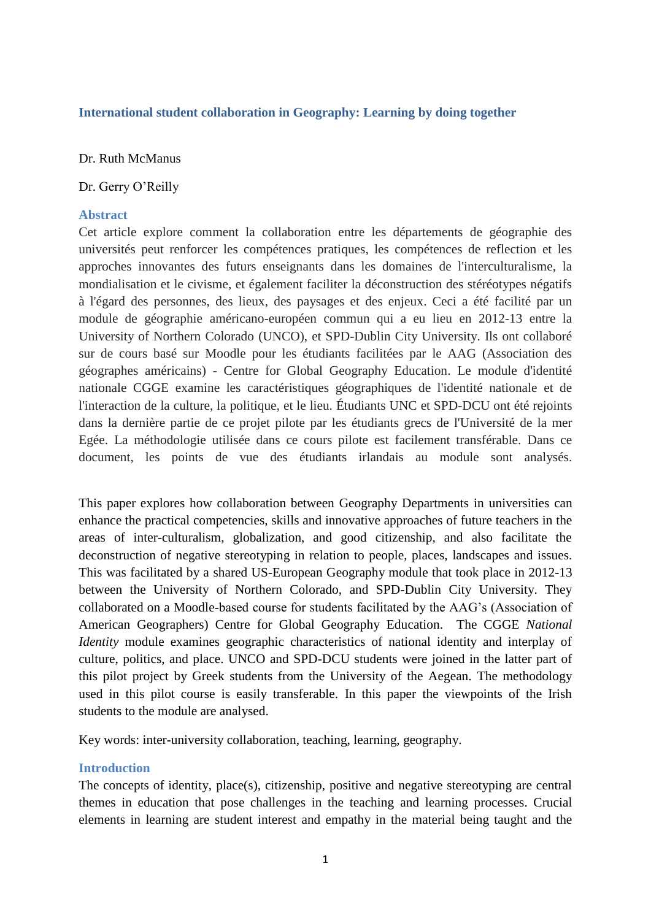## **International student collaboration in Geography: Learning by doing together**

#### Dr. Ruth McManus

#### Dr. Gerry O'Reilly

#### **Abstract**

Cet article explore comment la collaboration entre les départements de géographie des universités peut renforcer les compétences pratiques, les compétences de reflection et les approches innovantes des futurs enseignants dans les domaines de l'interculturalisme, la mondialisation et le civisme, et également faciliter la déconstruction des stéréotypes négatifs à l'égard des personnes, des lieux, des paysages et des enjeux. Ceci a été facilité par un module de géographie américano-européen commun qui a eu lieu en 2012-13 entre la University of Northern Colorado (UNCO), et SPD-Dublin City University. Ils ont collaboré sur de cours basé sur Moodle pour les étudiants facilitées par le AAG (Association des géographes américains) - Centre for Global Geography Education. Le module d'identité nationale CGGE examine les caractéristiques géographiques de l'identité nationale et de l'interaction de la culture, la politique, et le lieu. Étudiants UNC et SPD-DCU ont été rejoints dans la dernière partie de ce projet pilote par les étudiants grecs de l'Université de la mer Egée. La méthodologie utilisée dans ce cours pilote est facilement transférable. Dans ce document, les points de vue des étudiants irlandais au module sont analysés.

This paper explores how collaboration between Geography Departments in universities can enhance the practical competencies, skills and innovative approaches of future teachers in the areas of inter-culturalism, globalization, and good citizenship, and also facilitate the deconstruction of negative stereotyping in relation to people, places, landscapes and issues. This was facilitated by a shared US-European Geography module that took place in 2012-13 between the University of Northern Colorado, and SPD-Dublin City University. They collaborated on a Moodle-based course for students facilitated by the AAG's (Association of American Geographers) Centre for Global Geography Education. The CGGE *National Identity* module examines geographic characteristics of national identity and interplay of culture, politics, and place. UNCO and SPD-DCU students were joined in the latter part of this pilot project by Greek students from the University of the Aegean. The methodology used in this pilot course is easily transferable. In this paper the viewpoints of the Irish students to the module are analysed.

Key words: inter-university collaboration, teaching, learning, geography.

### **Introduction**

The concepts of identity, place(s), citizenship, positive and negative stereotyping are central themes in education that pose challenges in the teaching and learning processes. Crucial elements in learning are student interest and empathy in the material being taught and the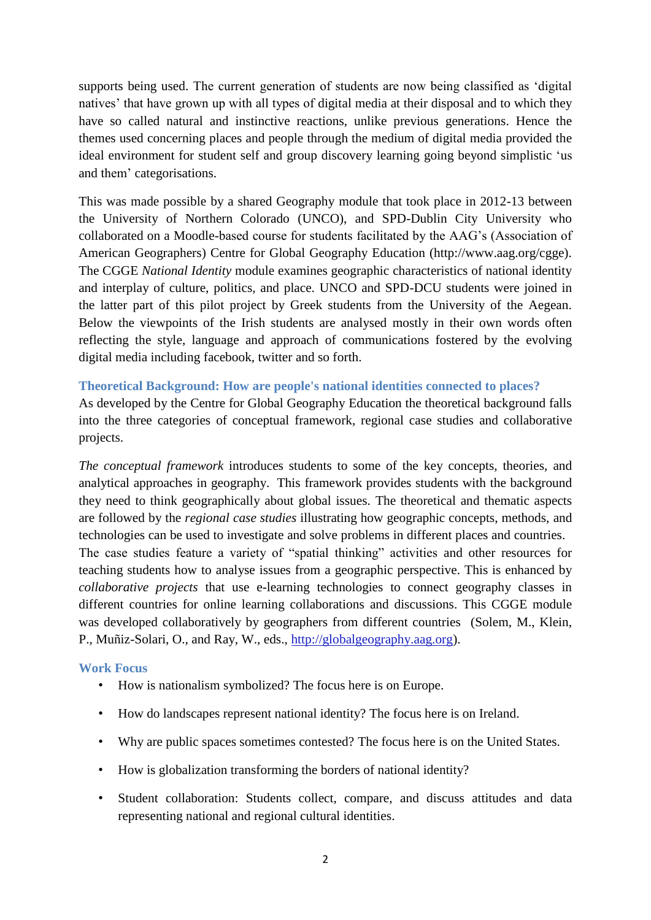supports being used. The current generation of students are now being classified as 'digital natives' that have grown up with all types of digital media at their disposal and to which they have so called natural and instinctive reactions, unlike previous generations. Hence the themes used concerning places and people through the medium of digital media provided the ideal environment for student self and group discovery learning going beyond simplistic 'us and them' categorisations.

This was made possible by a shared Geography module that took place in 2012-13 between the University of Northern Colorado (UNCO), and SPD-Dublin City University who collaborated on a Moodle-based course for students facilitated by the AAG's (Association of American Geographers) Centre for Global Geography Education (http://www.aag.org/cgge). The CGGE *National Identity* module examines geographic characteristics of national identity and interplay of culture, politics, and place. UNCO and SPD-DCU students were joined in the latter part of this pilot project by Greek students from the University of the Aegean. Below the viewpoints of the Irish students are analysed mostly in their own words often reflecting the style, language and approach of communications fostered by the evolving digital media including facebook, twitter and so forth.

## **Theoretical Background: How are people's national identities connected to places?**

As developed by the Centre for Global Geography Education the theoretical background falls into the three categories of conceptual framework, regional case studies and collaborative projects.

*The conceptual framework* introduces students to some of the key concepts, theories, and analytical approaches in geography. This framework provides students with the background they need to think geographically about global issues. The theoretical and thematic aspects are followed by the *regional case studies* illustrating how geographic concepts, methods, and technologies can be used to investigate and solve problems in different places and countries. The case studies feature a variety of "spatial thinking" activities and other resources for teaching students how to analyse issues from a geographic perspective. This is enhanced by *collaborative projects* that use e-learning technologies to connect geography classes in different countries for online learning collaborations and discussions. This CGGE module was developed collaboratively by geographers from different countries (Solem, M., Klein, P., Muñiz-Solari, O., and Ray, W., eds., [http://globalgeography.aag.org\)](http://globalgeography.aag.org/).

# **Work Focus**

- How is nationalism symbolized? The focus here is on Europe.
- How do landscapes represent national identity? The focus here is on Ireland.
- Why are public spaces sometimes contested? The focus here is on the United States.
- How is globalization transforming the borders of national identity?
- Student collaboration: Students collect, compare, and discuss attitudes and data representing national and regional cultural identities.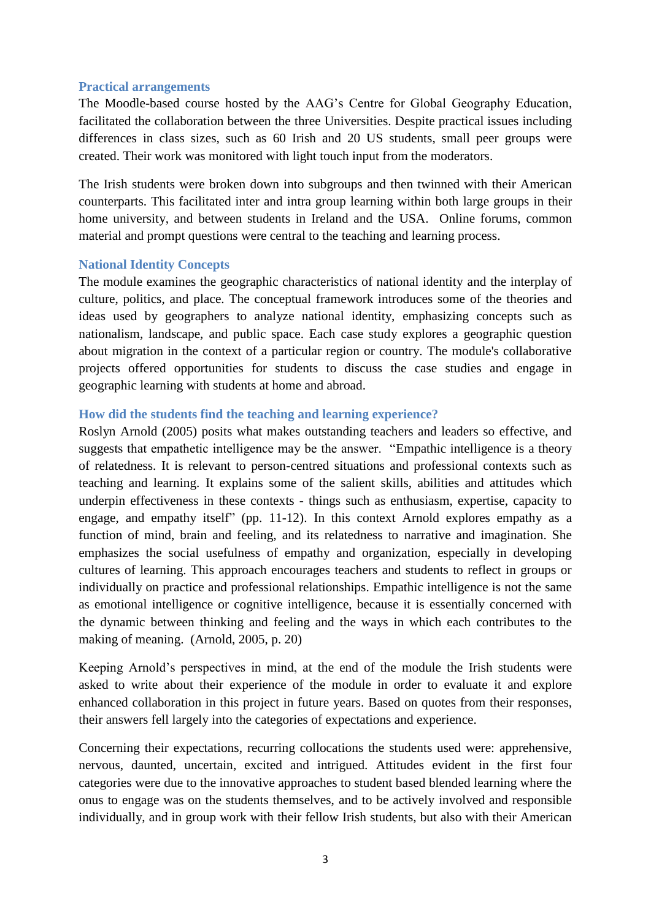#### **Practical arrangements**

The Moodle-based course hosted by the AAG's Centre for Global Geography Education, facilitated the collaboration between the three Universities. Despite practical issues including differences in class sizes, such as 60 Irish and 20 US students, small peer groups were created. Their work was monitored with light touch input from the moderators.

The Irish students were broken down into subgroups and then twinned with their American counterparts. This facilitated inter and intra group learning within both large groups in their home university, and between students in Ireland and the USA. Online forums, common material and prompt questions were central to the teaching and learning process.

#### **National Identity Concepts**

The module examines the geographic characteristics of national identity and the interplay of culture, politics, and place. The conceptual framework introduces some of the theories and ideas used by geographers to analyze national identity, emphasizing concepts such as nationalism, landscape, and public space. Each case study explores a geographic question about migration in the context of a particular region or country. The module's collaborative projects offered opportunities for students to discuss the case studies and engage in geographic learning with students at home and abroad.

#### **How did the students find the teaching and learning experience?**

Roslyn Arnold (2005) posits what makes outstanding teachers and leaders so effective, and suggests that empathetic intelligence may be the answer. "Empathic intelligence is a theory of relatedness. It is relevant to person-centred situations and professional contexts such as teaching and learning. It explains some of the salient skills, abilities and attitudes which underpin effectiveness in these contexts - things such as enthusiasm, expertise, capacity to engage, and empathy itself" (pp. 11-12). In this context Arnold explores empathy as a function of mind, brain and feeling, and its relatedness to narrative and imagination. She emphasizes the social usefulness of empathy and organization, especially in developing cultures of learning. This approach encourages teachers and students to reflect in groups or individually on practice and professional relationships. Empathic intelligence is not the same as emotional intelligence or cognitive intelligence, because it is essentially concerned with the dynamic between thinking and feeling and the ways in which each contributes to the making of meaning. (Arnold, 2005, p. 20)

Keeping Arnold's perspectives in mind, at the end of the module the Irish students were asked to write about their experience of the module in order to evaluate it and explore enhanced collaboration in this project in future years. Based on quotes from their responses, their answers fell largely into the categories of expectations and experience.

Concerning their expectations, recurring collocations the students used were: apprehensive, nervous, daunted, uncertain, excited and intrigued. Attitudes evident in the first four categories were due to the innovative approaches to student based blended learning where the onus to engage was on the students themselves, and to be actively involved and responsible individually, and in group work with their fellow Irish students, but also with their American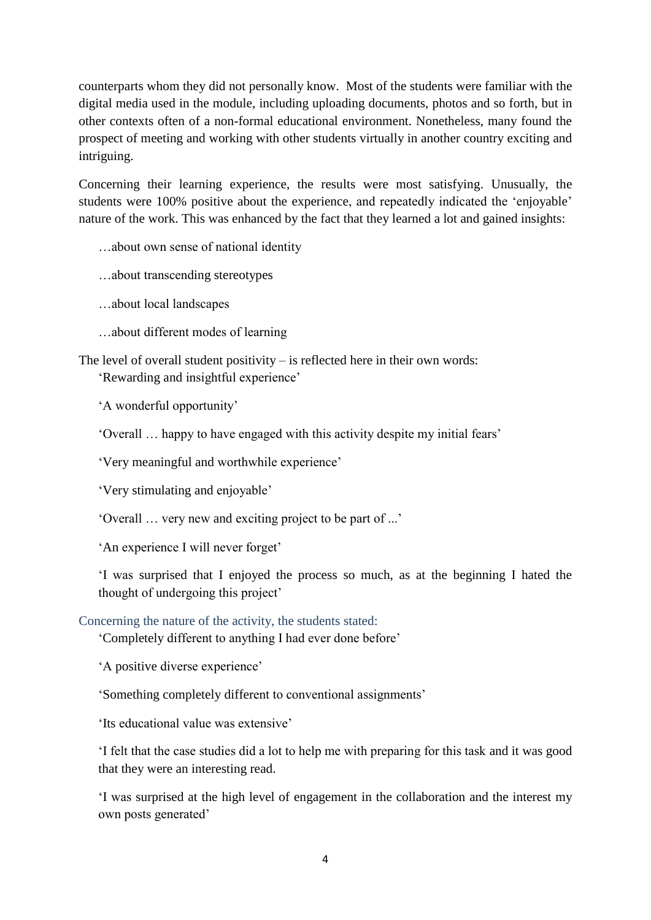counterparts whom they did not personally know. Most of the students were familiar with the digital media used in the module, including uploading documents, photos and so forth, but in other contexts often of a non-formal educational environment. Nonetheless, many found the prospect of meeting and working with other students virtually in another country exciting and intriguing.

Concerning their learning experience, the results were most satisfying. Unusually, the students were 100% positive about the experience, and repeatedly indicated the 'enjoyable' nature of the work. This was enhanced by the fact that they learned a lot and gained insights:

…about own sense of national identity

…about transcending stereotypes

…about local landscapes

…about different modes of learning

The level of overall student positivity – is reflected here in their own words: 'Rewarding and insightful experience'

'A wonderful opportunity'

'Overall … happy to have engaged with this activity despite my initial fears'

'Very meaningful and worthwhile experience'

'Very stimulating and enjoyable'

'Overall … very new and exciting project to be part of ...'

'An experience I will never forget'

'I was surprised that I enjoyed the process so much, as at the beginning I hated the thought of undergoing this project'

Concerning the nature of the activity, the students stated:

'Completely different to anything I had ever done before'

'A positive diverse experience'

'Something completely different to conventional assignments'

'Its educational value was extensive'

'I felt that the case studies did a lot to help me with preparing for this task and it was good that they were an interesting read.

'I was surprised at the high level of engagement in the collaboration and the interest my own posts generated'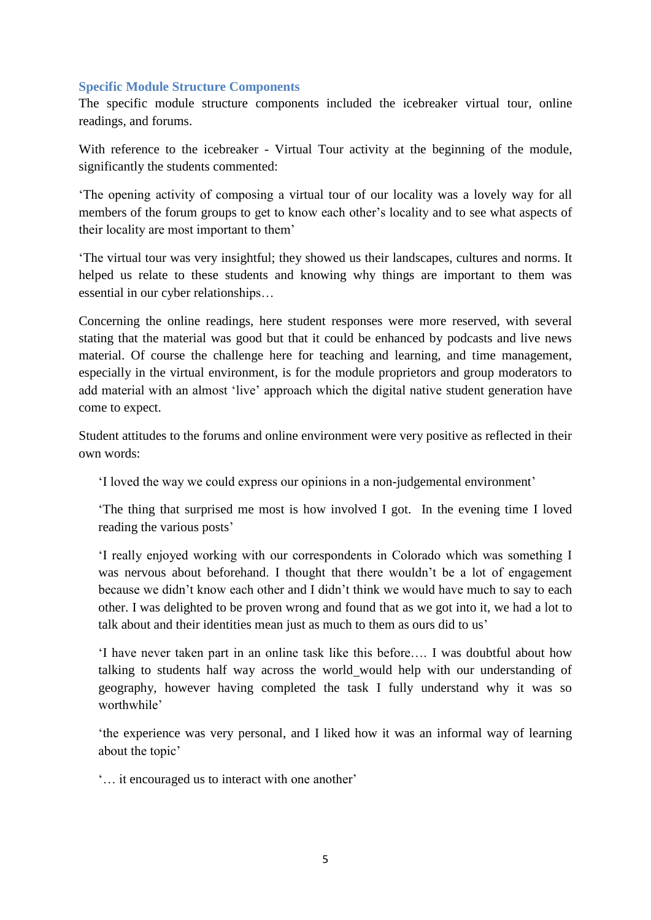### **Specific Module Structure Components**

The specific module structure components included the icebreaker virtual tour, online readings, and forums.

With reference to the icebreaker - Virtual Tour activity at the beginning of the module, significantly the students commented:

'The opening activity of composing a virtual tour of our locality was a lovely way for all members of the forum groups to get to know each other's locality and to see what aspects of their locality are most important to them'

'The virtual tour was very insightful; they showed us their landscapes, cultures and norms. It helped us relate to these students and knowing why things are important to them was essential in our cyber relationships…

Concerning the online readings, here student responses were more reserved, with several stating that the material was good but that it could be enhanced by podcasts and live news material. Of course the challenge here for teaching and learning, and time management, especially in the virtual environment, is for the module proprietors and group moderators to add material with an almost 'live' approach which the digital native student generation have come to expect.

Student attitudes to the forums and online environment were very positive as reflected in their own words:

'I loved the way we could express our opinions in a non-judgemental environment'

'The thing that surprised me most is how involved I got. In the evening time I loved reading the various posts'

'I really enjoyed working with our correspondents in Colorado which was something I was nervous about beforehand. I thought that there wouldn't be a lot of engagement because we didn't know each other and I didn't think we would have much to say to each other. I was delighted to be proven wrong and found that as we got into it, we had a lot to talk about and their identities mean just as much to them as ours did to us'

'I have never taken part in an online task like this before…. I was doubtful about how talking to students half way across the world would help with our understanding of geography, however having completed the task I fully understand why it was so worthwhile'

'the experience was very personal, and I liked how it was an informal way of learning about the topic'

'… it encouraged us to interact with one another'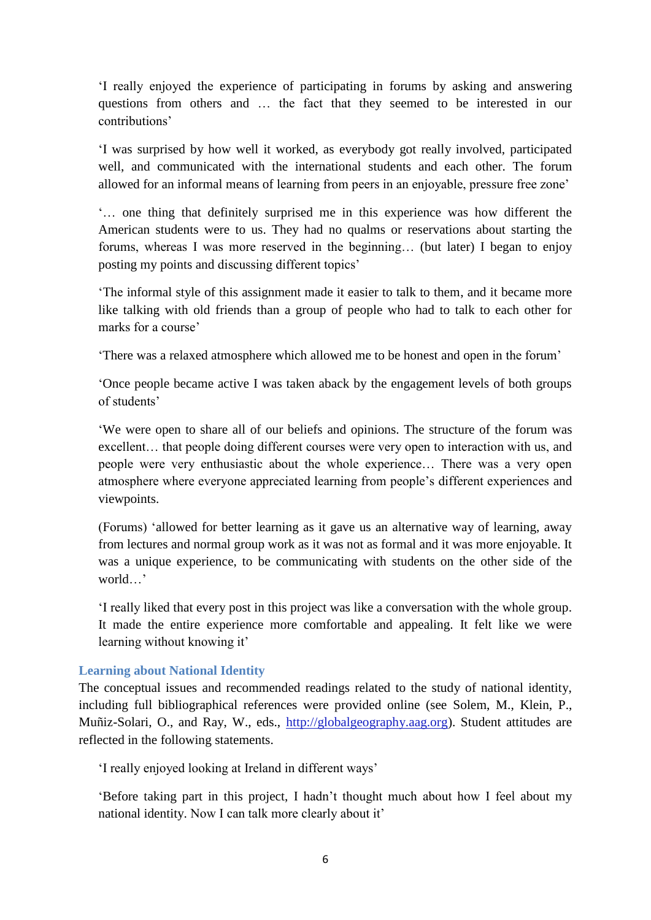'I really enjoyed the experience of participating in forums by asking and answering questions from others and … the fact that they seemed to be interested in our contributions'

'I was surprised by how well it worked, as everybody got really involved, participated well, and communicated with the international students and each other. The forum allowed for an informal means of learning from peers in an enjoyable, pressure free zone'

'… one thing that definitely surprised me in this experience was how different the American students were to us. They had no qualms or reservations about starting the forums, whereas I was more reserved in the beginning… (but later) I began to enjoy posting my points and discussing different topics'

'The informal style of this assignment made it easier to talk to them, and it became more like talking with old friends than a group of people who had to talk to each other for marks for a course'

'There was a relaxed atmosphere which allowed me to be honest and open in the forum'

'Once people became active I was taken aback by the engagement levels of both groups of students'

'We were open to share all of our beliefs and opinions. The structure of the forum was excellent… that people doing different courses were very open to interaction with us, and people were very enthusiastic about the whole experience… There was a very open atmosphere where everyone appreciated learning from people's different experiences and viewpoints.

(Forums) 'allowed for better learning as it gave us an alternative way of learning, away from lectures and normal group work as it was not as formal and it was more enjoyable. It was a unique experience, to be communicating with students on the other side of the world…'

'I really liked that every post in this project was like a conversation with the whole group. It made the entire experience more comfortable and appealing. It felt like we were learning without knowing it'

# **Learning about National Identity**

The conceptual issues and recommended readings related to the study of national identity, including full bibliographical references were provided online (see Solem, M., Klein, P., Muñiz-Solari, O., and Ray, W., eds., [http://globalgeography.aag.org\)](http://globalgeography.aag.org/). Student attitudes are reflected in the following statements.

'I really enjoyed looking at Ireland in different ways'

'Before taking part in this project, I hadn't thought much about how I feel about my national identity. Now I can talk more clearly about it'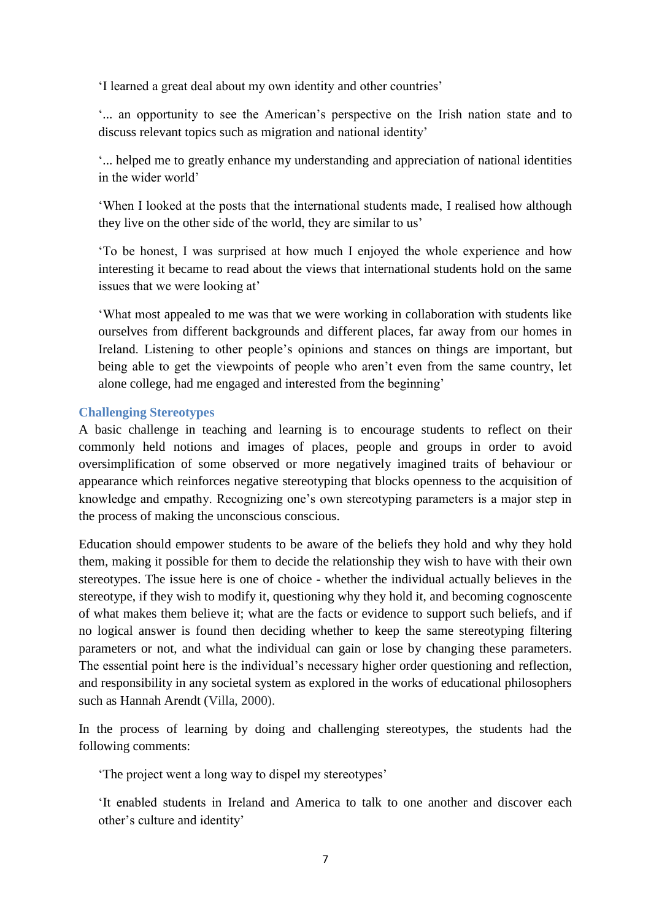'I learned a great deal about my own identity and other countries'

'... an opportunity to see the American's perspective on the Irish nation state and to discuss relevant topics such as migration and national identity'

'... helped me to greatly enhance my understanding and appreciation of national identities in the wider world'

'When I looked at the posts that the international students made, I realised how although they live on the other side of the world, they are similar to us'

'To be honest, I was surprised at how much I enjoyed the whole experience and how interesting it became to read about the views that international students hold on the same issues that we were looking at'

'What most appealed to me was that we were working in collaboration with students like ourselves from different backgrounds and different places, far away from our homes in Ireland. Listening to other people's opinions and stances on things are important, but being able to get the viewpoints of people who aren't even from the same country, let alone college, had me engaged and interested from the beginning'

# **Challenging Stereotypes**

A basic challenge in teaching and learning is to encourage students to reflect on their commonly held notions and images of places, people and groups in order to avoid oversimplification of some observed or more negatively imagined traits of behaviour or appearance which reinforces negative stereotyping that blocks openness to the acquisition of knowledge and empathy. Recognizing one's own stereotyping parameters is a major step in the process of making the unconscious conscious.

Education should empower students to be aware of the beliefs they hold and why they hold them, making it possible for them to decide the relationship they wish to have with their own stereotypes. The issue here is one of choice - whether the individual actually believes in the stereotype, if they wish to modify it, questioning why they hold it, and becoming cognoscente of what makes them believe it; what are the facts or evidence to support such beliefs, and if no logical answer is found then deciding whether to keep the same stereotyping filtering parameters or not, and what the individual can gain or lose by changing these parameters. The essential point here is the individual's necessary higher order questioning and reflection, and responsibility in any societal system as explored in the works of educational philosophers such as Hannah Arendt (Villa, 2000).

In the process of learning by doing and challenging stereotypes, the students had the following comments:

'The project went a long way to dispel my stereotypes'

'It enabled students in Ireland and America to talk to one another and discover each other's culture and identity'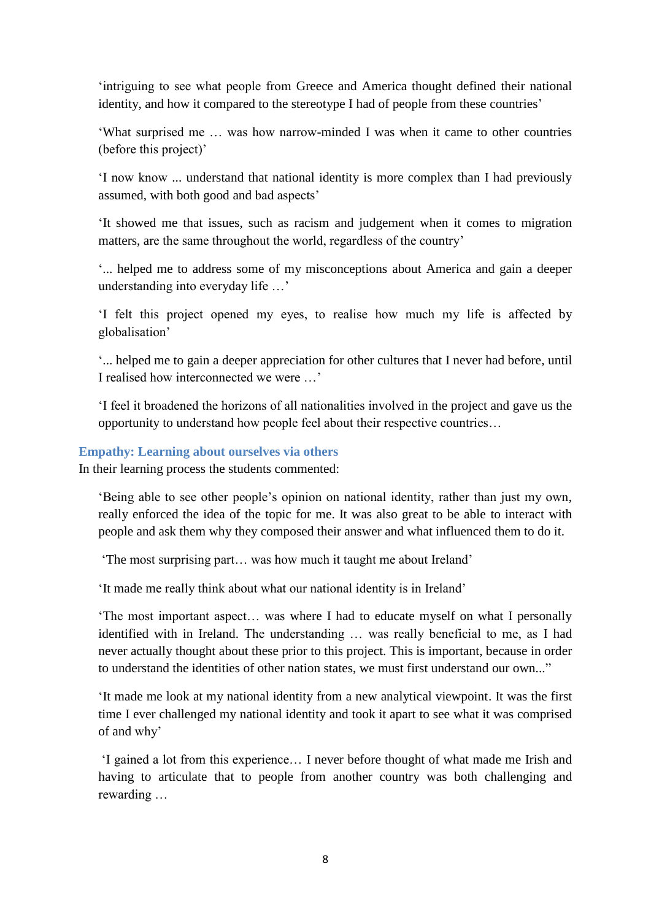'intriguing to see what people from Greece and America thought defined their national identity, and how it compared to the stereotype I had of people from these countries'

'What surprised me … was how narrow-minded I was when it came to other countries (before this project)'

'I now know ... understand that national identity is more complex than I had previously assumed, with both good and bad aspects'

'It showed me that issues, such as racism and judgement when it comes to migration matters, are the same throughout the world, regardless of the country'

'... helped me to address some of my misconceptions about America and gain a deeper understanding into everyday life …'

'I felt this project opened my eyes, to realise how much my life is affected by globalisation'

'... helped me to gain a deeper appreciation for other cultures that I never had before, until I realised how interconnected we were …'

'I feel it broadened the horizons of all nationalities involved in the project and gave us the opportunity to understand how people feel about their respective countries…

### **Empathy: Learning about ourselves via others**

In their learning process the students commented:

'Being able to see other people's opinion on national identity, rather than just my own, really enforced the idea of the topic for me. It was also great to be able to interact with people and ask them why they composed their answer and what influenced them to do it.

'The most surprising part… was how much it taught me about Ireland'

'It made me really think about what our national identity is in Ireland'

'The most important aspect… was where I had to educate myself on what I personally identified with in Ireland. The understanding … was really beneficial to me, as I had never actually thought about these prior to this project. This is important, because in order to understand the identities of other nation states, we must first understand our own..."

'It made me look at my national identity from a new analytical viewpoint. It was the first time I ever challenged my national identity and took it apart to see what it was comprised of and why'

'I gained a lot from this experience… I never before thought of what made me Irish and having to articulate that to people from another country was both challenging and rewarding …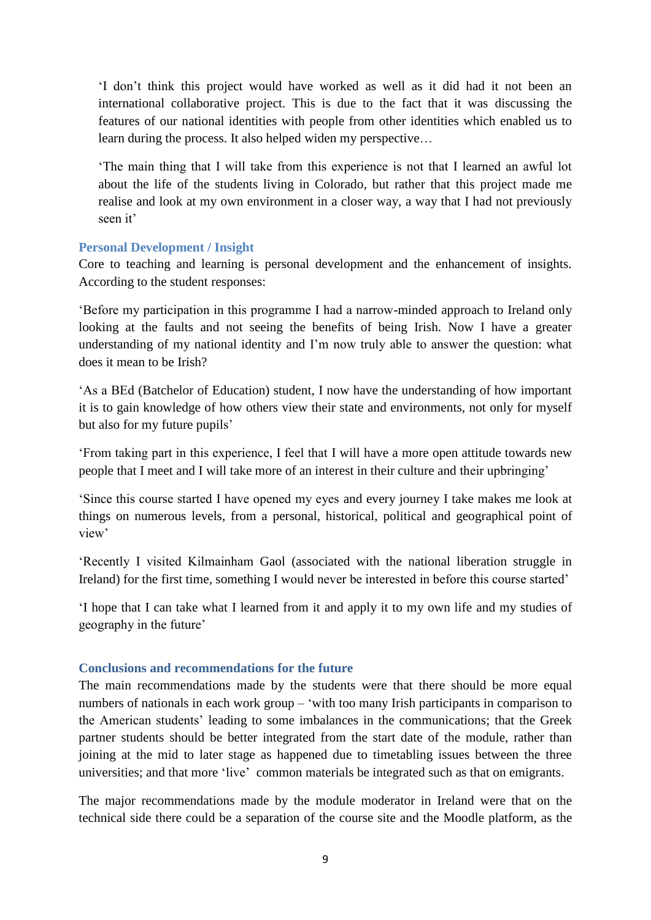'I don't think this project would have worked as well as it did had it not been an international collaborative project. This is due to the fact that it was discussing the features of our national identities with people from other identities which enabled us to learn during the process. It also helped widen my perspective…

'The main thing that I will take from this experience is not that I learned an awful lot about the life of the students living in Colorado, but rather that this project made me realise and look at my own environment in a closer way, a way that I had not previously seen it'

#### **Personal Development / Insight**

Core to teaching and learning is personal development and the enhancement of insights. According to the student responses:

'Before my participation in this programme I had a narrow-minded approach to Ireland only looking at the faults and not seeing the benefits of being Irish. Now I have a greater understanding of my national identity and I'm now truly able to answer the question: what does it mean to be Irish?

'As a BEd (Batchelor of Education) student, I now have the understanding of how important it is to gain knowledge of how others view their state and environments, not only for myself but also for my future pupils'

'From taking part in this experience, I feel that I will have a more open attitude towards new people that I meet and I will take more of an interest in their culture and their upbringing'

'Since this course started I have opened my eyes and every journey I take makes me look at things on numerous levels, from a personal, historical, political and geographical point of view'

'Recently I visited Kilmainham Gaol (associated with the national liberation struggle in Ireland) for the first time, something I would never be interested in before this course started'

'I hope that I can take what I learned from it and apply it to my own life and my studies of geography in the future'

#### **Conclusions and recommendations for the future**

The main recommendations made by the students were that there should be more equal numbers of nationals in each work group – 'with too many Irish participants in comparison to the American students' leading to some imbalances in the communications; that the Greek partner students should be better integrated from the start date of the module, rather than joining at the mid to later stage as happened due to timetabling issues between the three universities; and that more 'live' common materials be integrated such as that on emigrants.

The major recommendations made by the module moderator in Ireland were that on the technical side there could be a separation of the course site and the Moodle platform, as the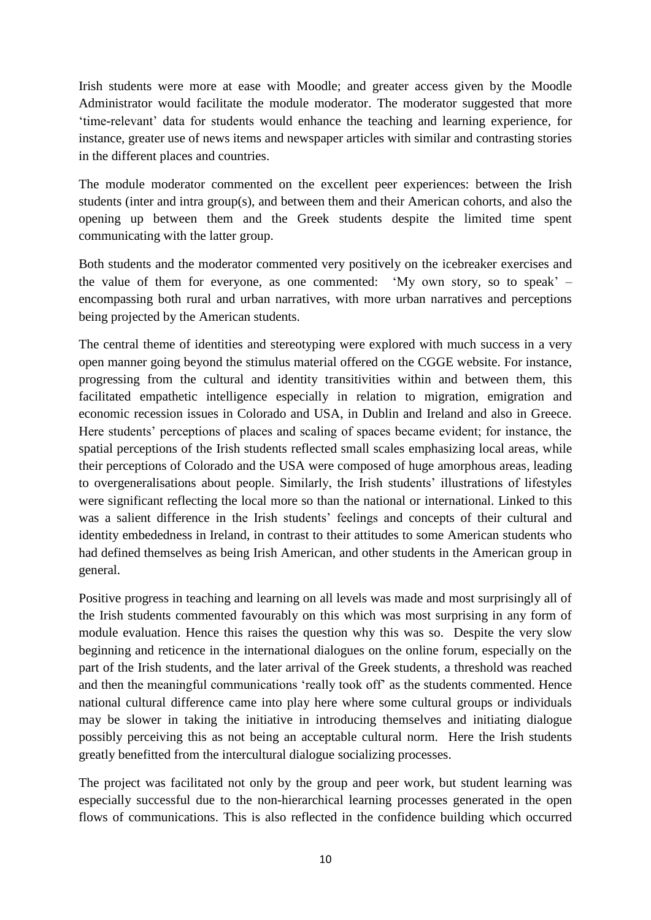Irish students were more at ease with Moodle; and greater access given by the Moodle Administrator would facilitate the module moderator. The moderator suggested that more 'time-relevant' data for students would enhance the teaching and learning experience, for instance, greater use of news items and newspaper articles with similar and contrasting stories in the different places and countries.

The module moderator commented on the excellent peer experiences: between the Irish students (inter and intra group(s), and between them and their American cohorts, and also the opening up between them and the Greek students despite the limited time spent communicating with the latter group.

Both students and the moderator commented very positively on the icebreaker exercises and the value of them for everyone, as one commented: 'My own story, so to speak' – encompassing both rural and urban narratives, with more urban narratives and perceptions being projected by the American students.

The central theme of identities and stereotyping were explored with much success in a very open manner going beyond the stimulus material offered on the CGGE website. For instance, progressing from the cultural and identity transitivities within and between them, this facilitated empathetic intelligence especially in relation to migration, emigration and economic recession issues in Colorado and USA, in Dublin and Ireland and also in Greece. Here students' perceptions of places and scaling of spaces became evident; for instance, the spatial perceptions of the Irish students reflected small scales emphasizing local areas, while their perceptions of Colorado and the USA were composed of huge amorphous areas, leading to overgeneralisations about people. Similarly, the Irish students' illustrations of lifestyles were significant reflecting the local more so than the national or international. Linked to this was a salient difference in the Irish students' feelings and concepts of their cultural and identity embededness in Ireland, in contrast to their attitudes to some American students who had defined themselves as being Irish American, and other students in the American group in general.

Positive progress in teaching and learning on all levels was made and most surprisingly all of the Irish students commented favourably on this which was most surprising in any form of module evaluation. Hence this raises the question why this was so. Despite the very slow beginning and reticence in the international dialogues on the online forum, especially on the part of the Irish students, and the later arrival of the Greek students, a threshold was reached and then the meaningful communications 'really took off' as the students commented. Hence national cultural difference came into play here where some cultural groups or individuals may be slower in taking the initiative in introducing themselves and initiating dialogue possibly perceiving this as not being an acceptable cultural norm. Here the Irish students greatly benefitted from the intercultural dialogue socializing processes.

The project was facilitated not only by the group and peer work, but student learning was especially successful due to the non-hierarchical learning processes generated in the open flows of communications. This is also reflected in the confidence building which occurred